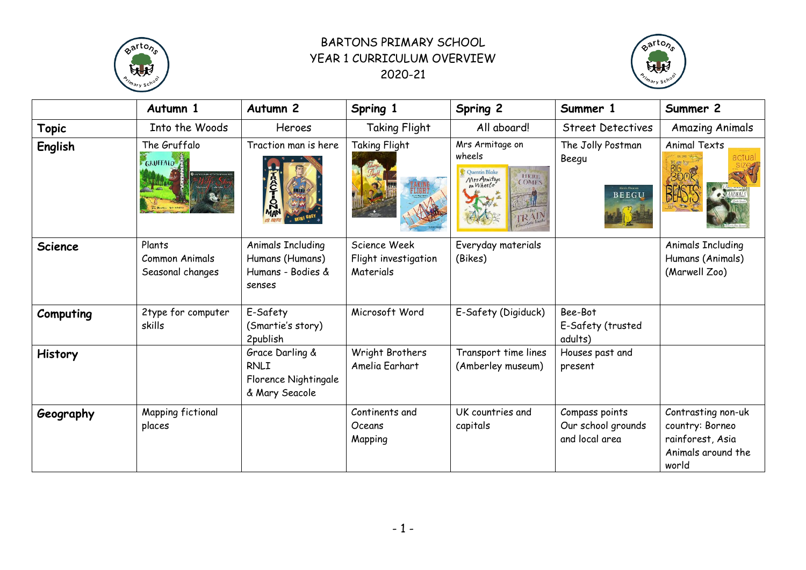

## BARTONS PRIMARY SCHOOL YEAR 1 CURRICULUM OVERVIEW 2020-21



|                | Autumn 1                                     | Autumn <sub>2</sub>                                                        | Spring 1                                          | Spring 2                                                                                 | Summer 1                                               | Summer 2                                                                                 |
|----------------|----------------------------------------------|----------------------------------------------------------------------------|---------------------------------------------------|------------------------------------------------------------------------------------------|--------------------------------------------------------|------------------------------------------------------------------------------------------|
| <b>Topic</b>   | Into the Woods                               | Heroes                                                                     | <b>Taking Flight</b>                              | All aboard!                                                                              | <b>Street Detectives</b>                               | <b>Amazing Animals</b>                                                                   |
| English        | The Gruffalo<br><b>GRUFFALO</b>              | Traction man is here<br>пñ                                                 | Taking Flight                                     | Mrs Armitage on<br>wheels<br><b>Ouentin Blake</b><br>HERE<br>COMES<br>Mrs Armitage<br>RA | The Jolly Postman<br>Beegu<br>BEEGU                    | <b>Animal Texts</b>                                                                      |
| <b>Science</b> | Plants<br>Common Animals<br>Seasonal changes | <b>Animals Including</b><br>Humans (Humans)<br>Humans - Bodies &<br>senses | Science Week<br>Flight investigation<br>Materials | Everyday materials<br>(Bikes)                                                            |                                                        | <b>Animals Including</b><br>Humans (Animals)<br>(Marwell Zoo)                            |
| Computing      | 2type for computer<br>skills                 | E-Safety<br>(Smartie's story)<br>2publish                                  | Microsoft Word                                    | E-Safety (Digiduck)                                                                      | Bee-Bot<br>E-Safety (trusted<br>adults)                |                                                                                          |
| <b>History</b> |                                              | Grace Darling &<br><b>RNLI</b><br>Florence Nightingale<br>& Mary Seacole   | Wright Brothers<br>Amelia Earhart                 | Transport time lines<br>(Amberley museum)                                                | Houses past and<br>present                             |                                                                                          |
| Geography      | Mapping fictional<br>places                  |                                                                            | Continents and<br>Oceans<br>Mapping               | UK countries and<br>capitals                                                             | Compass points<br>Our school grounds<br>and local area | Contrasting non-uk<br>country: Borneo<br>rainforest, Asia<br>Animals around the<br>world |